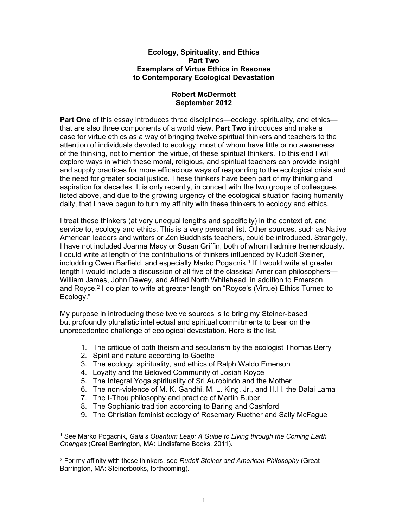#### **Ecology, Spirituality, and Ethics Part Two Exemplars of Virtue Ethics in Resonse to Contemporary Ecological Devastation**

#### **Robert McDermott September 2012**

**Part One** of this essay introduces three disciplines—ecology, spirituality, and ethics that are also three components of a world view. **Part Two** introduces and make a case for virtue ethics as a way of bringing twelve spiritual thinkers and teachers to the attention of individuals devoted to ecology, most of whom have little or no awareness of the thinking, not to mention the virtue, of these spiritual thinkers. To this end I will explore ways in which these moral, religious, and spiritual teachers can provide insight and supply practices for more efficacious ways of responding to the ecological crisis and the need for greater social justice. These thinkers have been part of my thinking and aspiration for decades. It is only recently, in concert with the two groups of colleagues listed above, and due to the growing urgency of the ecological situation facing humanity daily, that I have begun to turn my affinity with these thinkers to ecology and ethics.

I treat these thinkers (at very unequal lengths and specificity) in the context of, and service to, ecology and ethics. This is a very personal list. Other sources, such as Native American leaders and writers or Zen Buddhists teachers, could be introduced. Strangely, I have not included Joanna Macy or Susan Griffin, both of whom I admire tremendously. I could write at length of the contributions of thinkers influenced by Rudolf Steiner, includding Owen Barfield, and especially Marko Pogacnik.<sup>1</sup> If I would write at greater length I would include a discussion of all five of the classical American philosophers— William James, John Dewey, and Alfred North Whitehead, in addition to Emerson and Royce.<sup>2</sup> I do plan to write at greater length on "Royce's (Virtue) Ethics Turned to Ecology."

My purpose in introducing these twelve sources is to bring my Steiner-based but profoundly pluralistic intellectual and spiritual commitments to bear on the unprecedented challenge of ecological devastation. Here is the list.

- 1. The critique of both theism and secularism by the ecologist Thomas Berry
- 2. Spirit and nature according to Goethe
- 3. The ecology, spirituality, and ethics of Ralph Waldo Emerson
- 4. Loyalty and the Beloved Community of Josiah Royce
- 5. The Integral Yoga spirituality of Sri Aurobindo and the Mother
- 6. The non-violence of M. K. Gandhi, M. L. King, Jr., and H.H. the Dalai Lama
- 7. The I-Thou philosophy and practice of Martin Buber
- 8. The Sophianic tradition according to Baring and Cashford
- 9. The Christian feminist ecology of Rosemary Ruether and Sally McFague

<sup>1</sup> See Marko Pogacnik, *Gaia's Quantum Leap: A Guide to Living through the Coming Earth Changes* (Great Barrington, MA: Lindisfarne Books, 2011).

<sup>2</sup> For my affinity with these thinkers, see *Rudolf Steiner and American Philosophy* (Great Barrington, MA: Steinerbooks, forthcoming).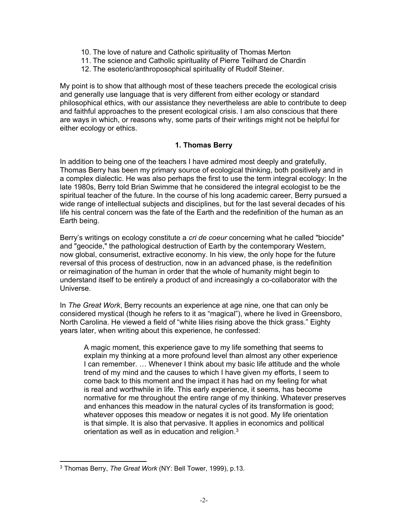- 10. The love of nature and Catholic spirituality of Thomas Merton
- 11. The science and Catholic spirituality of Pierre Teilhard de Chardin
- 12. The esoteric/anthroposophical spirituality of Rudolf Steiner.

My point is to show that although most of these teachers precede the ecological crisis and generally use language that is very different from either ecology or standard philosophical ethics, with our assistance they nevertheless are able to contribute to deep and faithful approaches to the present ecological crisis. I am also conscious that there are ways in which, or reasons why, some parts of their writings might not be helpful for either ecology or ethics.

#### **1. Thomas Berry**

In addition to being one of the teachers I have admired most deeply and gratefully, Thomas Berry has been my primary source of ecological thinking, both positively and in a complex dialectic. He was also perhaps the first to use the term integral ecology: In the late 1980s, Berry told Brian Swimme that he considered the integral ecologist to be the spiritual teacher of the future. In the course of his long academic career, Berry pursued a wide range of intellectual subjects and disciplines, but for the last several decades of his life his central concern was the fate of the Earth and the redefinition of the human as an Earth being.

Berry's writings on ecology constitute a *cri de coeur* concerning what he called "biocide" and "geocide," the pathological destruction of Earth by the contemporary Western, now global, consumerist, extractive economy. In his view, the only hope for the future reversal of this process of destruction, now in an advanced phase, is the redefinition or reimagination of the human in order that the whole of humanity might begin to understand itself to be entirely a product of and increasingly a co-collaborator with the Universe.

In *The Great Work*, Berry recounts an experience at age nine, one that can only be considered mystical (though he refers to it as "magical"), where he lived in Greensboro, North Carolina. He viewed a field of "white lilies rising above the thick grass." Eighty years later, when writing about this experience, he confessed:

A magic moment, this experience gave to my life something that seems to explain my thinking at a more profound level than almost any other experience I can remember. … Whenever I think about my basic life attitude and the whole trend of my mind and the causes to which I have given my efforts, I seem to come back to this moment and the impact it has had on my feeling for what is real and worthwhile in life. This early experience, it seems, has become normative for me throughout the entire range of my thinking. Whatever preserves and enhances this meadow in the natural cycles of its transformation is good; whatever opposes this meadow or negates it is not good. My life orientation is that simple. It is also that pervasive. It applies in economics and political orientation as well as in education and religion.<sup>3</sup>

<sup>3</sup> Thomas Berry, *The Great Work* (NY: Bell Tower, 1999), p.13.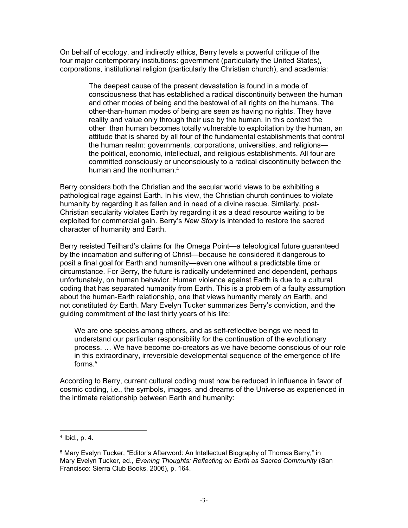On behalf of ecology, and indirectly ethics, Berry levels a powerful critique of the four major contemporary institutions: government (particularly the United States), corporations, institutional religion (particularly the Christian church), and academia:

> The deepest cause of the present devastation is found in a mode of consciousness that has established a radical discontinuity between the human and other modes of being and the bestowal of all rights on the humans. The other-than-human modes of being are seen as having no rights. They have reality and value only through their use by the human. In this context the other than human becomes totally vulnerable to exploitation by the human, an attitude that is shared by all four of the fundamental establishments that control the human realm: governments, corporations, universities, and religions the political, economic, intellectual, and religious establishments. All four are committed consciously or unconsciously to a radical discontinuity between the human and the nonhuman.<sup>4</sup>

Berry considers both the Christian and the secular world views to be exhibiting a pathological rage against Earth. In his view, the Christian church continues to violate humanity by regarding it as fallen and in need of a divine rescue. Similarly, post-Christian secularity violates Earth by regarding it as a dead resource waiting to be exploited for commercial gain. Berry's *New Story* is intended to restore the sacred character of humanity and Earth.

Berry resisted Teilhard's claims for the Omega Point—a teleological future guaranteed by the incarnation and suffering of Christ—because he considered it dangerous to posit a final goal for Earth and humanity—even one without a predictable time or circumstance. For Berry, the future is radically undetermined and dependent, perhaps unfortunately, on human behavior. Human violence against Earth is due to a cultural coding that has separated humanity from Earth. This is a problem of a faulty assumption about the human-Earth relationship, one that views humanity merely *on* Earth, and not constituted *by* Earth. Mary Evelyn Tucker summarizes Berry's conviction, and the guiding commitment of the last thirty years of his life:

We are one species among others, and as self-reflective beings we need to understand our particular responsibility for the continuation of the evolutionary process. … We have become co-creators as we have become conscious of our role in this extraordinary, irreversible developmental sequence of the emergence of life forms.<sup>5</sup>

According to Berry, current cultural coding must now be reduced in influence in favor of cosmic coding, i.e., the symbols, images, and dreams of the Universe as experienced in the intimate relationship between Earth and humanity:

<sup>4</sup> Ibid., p. 4.

<sup>5</sup> Mary Evelyn Tucker, "Editor's Afterword: An Intellectual Biography of Thomas Berry," in Mary Evelyn Tucker, ed., *Evening Thoughts: Reflecting on Earth as Sacred Community* (San Francisco: Sierra Club Books, 2006), p. 164.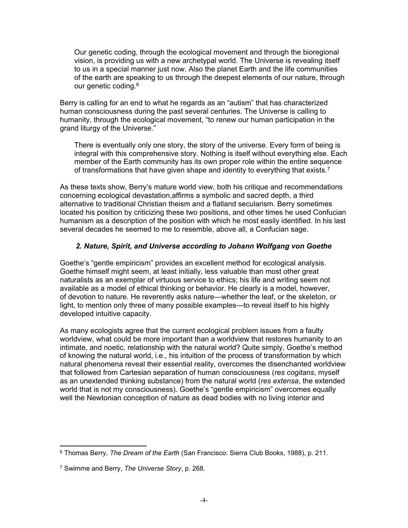Our genetic coding, through the ecological movement and through the bioregional vision, is providing us with a new archetypal world. The Universe is revealing itself to us in a special manner just now. Also the planet Earth and the life communities of the earth are speaking to us through the deepest elements of our nature, through our genetic coding.<sup>6</sup>

Berry is calling for an end to what he regards as an "autism" that has characterized human consciousness during the past several centuries. The Universe is calling to humanity, through the ecological movement, "to renew our human participation in the grand liturgy of the Universe."

There is eventually only one story, the story of the universe. Every form of being is integral with this comprehensive story. Nothing is itself without everything else. Each member of the Earth community has its own proper role within the entire sequence of transformations that have given shape and identity to everything that exists.<sup>7</sup>

As these texts show, Berry's mature world view, both his critique and recommendations concerning ecological devastation,affirms a symbolic and sacred depth, a third alternative to traditional Christian theism and a flatland secularism. Berry sometimes located his position by criticizing these two positions, and other times he used Confucian humanism as a description of the position with which he most easily identified. In his last several decades he seemed to me to resemble, above all, a Confucian sage.

## *2. Nature, Spirit, and Universe according to Johann Wolfgang von Goethe*

Goethe's "gentle empiricism" provides an excellent method for ecological analysis. Goethe himself might seem, at least initially, less valuable than most other great naturalists as an exemplar of virtuous service to ethics; his life and writing seem not available as a model of ethical thinking or behavior. He clearly is a model, however, of devotion to nature. He reverently asks nature—whether the leaf, or the skeleton, or light, to mention only three of many possible examples—to reveal itself to his highly developed intuitive capacity.

As many ecologists agree that the current ecological problem issues from a faulty worldview, what could be more important than a worldview that restores humanity to an intimate, and noetic, relationship with the natural world? Quite simply, Goethe's method of knowing the natural world, i.e., his intuition of the process of transformation by which natural phenomena reveal their essential reality, overcomes the disenchanted worldview that followed from Cartesian separation of human consciousness (*res cogitans*, myself as an unextended thinking substance) from the natural world (*res extensa*, the extended world that is not my consciousness). Goethe's "gentle empiricism" overcomes equally well the Newtonian conception of nature as dead bodies with no living interior and

<sup>6</sup> Thomas Berry, *The Dream of the Earth* (San Francisco: Sierra Club Books, 1988), p. 211.

<sup>7</sup> Swimme and Berry, *The Universe Story*, p. 268.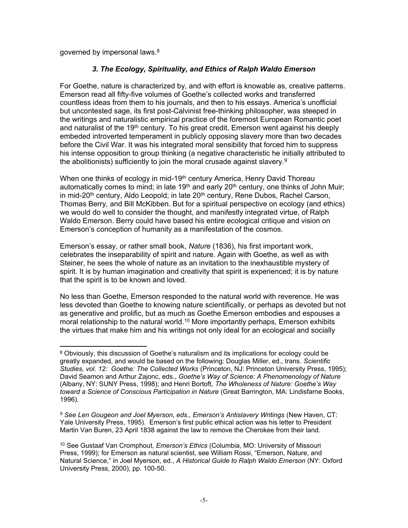governed by impersonal laws.<sup>8</sup>

## *3. The Ecology, Spirituality, and Ethics of Ralph Waldo Emerson*

For Goethe, nature is characterized by, and with effort is knowable as, creative patterns. Emerson read all fifty-five volumes of Goethe's collected works and transferred countless ideas from them to his journals, and then to his essays. America's unofficial but uncontested sage, its first post-Calvinist free-thinking philosopher, was steeped in the writings and naturalistic empirical practice of the foremost European Romantic poet and naturalist of the 19<sup>th</sup> century. To his great credit, Emerson went against his deeply embeded introverted temperament in publicly opposing slavery more than two decades before the Civil War. It was his integrated moral sensibility that forced him to suppress his intense opposition to group thinking (a negative characteristic he initially attributed to the abolitionists) sufficiently to join the moral crusade against slavery.<sup>9</sup>

When one thinks of ecology in mid-19<sup>th</sup> century America, Henry David Thoreau automatically comes to mind; in late 19<sup>th</sup> and early 20<sup>th</sup> century, one thinks of John Muir; in mid-20<sup>th</sup> century, Aldo Leopold; in late 20<sup>th</sup> century, Rene Dubos, Rachel Carson, Thomas Berry, and Bill McKibben. But for a spiritual perspective on ecology (and ethics) we would do well to consider the thought, and manifestly integrated virtue, of Ralph Waldo Emerson. Berry could have based his entire ecological critique and vision on Emerson's conception of humanity as a manifestation of the cosmos.

Emerson's essay, or rather small book, *Nature* (1836), his first important work, celebrates the inseparability of spirit and nature. Again with Goethe, as well as with Steiner, he sees the whole of nature as an invitation to the inexhaustible mystery of spirit. It is by human imagination and creativity that spirit is experienced; it is by nature that the spirit is to be known and loved.

No less than Goethe, Emerson responded to the natural world with reverence. He was less devoted than Goethe to knowing nature scientifically, or perhaps as devoted but not as generative and prolific, but as much as Goethe Emerson embodies and espouses a moral relationship to the natural world.<sup>10</sup> More importantly perhaps, Emerson exhibits the virtues that make him and his writings not only ideal for an ecological and socially

<sup>&</sup>lt;sup>8</sup> Obviously, this discussion of Goethe's naturalism and its implications for ecology could be greatly expanded, and would be based on the following: Douglas Miller, ed., trans. *Scientific Studies, vol. 12: Goethe: The Collected Works* (Princeton, NJ: Princeton University Press, 1995); David Seamon and Arthur Zajonc, eds., *Goethe's Way of Science: A Phenomenology of Nature* (Albany, NY: SUNY Press, 1998); and Henri Bortoft, *The Wholeness of Nature: Goethe's Way toward a Science of Conscious Participation in Nature* (Great Barrington, MA: Lindisfarne Books, 1996).

<sup>&</sup>lt;sup>9</sup> See Len Gougeon and Joel Myerson, eds., Emerson's Antislavery Writings (New Haven, CT: Yale University Press, 1995). Emerson's first public ethical action was his letter to President Martin Van Buren, 23 April 1838 against the law to remove the Cherokee from their land.

<sup>10</sup> See Gustaaf Van Cromphout, *Emerson's Ethics* (Columbia, MO: University of Missouri Press, 1999); for Emerson as natural scientist, see William Rossi, "Emerson, Nature, and Natural Science," in Joel Myerson, ed., *A Historical Guide to Ralph Waldo Emerson* (NY: Oxford University Press, 2000), pp. 100-50.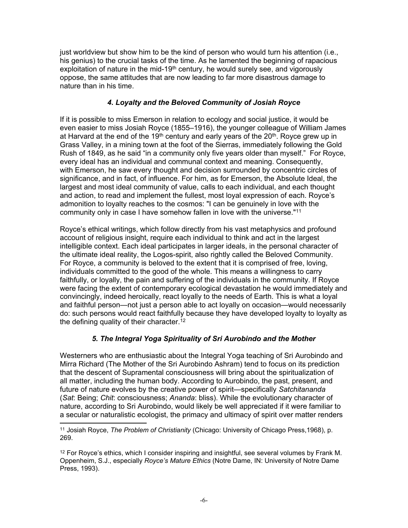just worldview but show him to be the kind of person who would turn his attention (i.e., his genius) to the crucial tasks of the time. As he lamented the beginning of rapacious exploitation of nature in the mid-19<sup>th</sup> century, he would surely see, and vigorously oppose, the same attitudes that are now leading to far more disastrous damage to nature than in his time.

# *4. Loyalty and the Beloved Community of Josiah Royce*

If it is possible to miss Emerson in relation to ecology and social justice, it would be even easier to miss Josiah Royce (1855–1916), the younger colleague of William James at Harvard at the end of the 19<sup>th</sup> century and early years of the 20<sup>th</sup>. Royce grew up in Grass Valley, in a mining town at the foot of the Sierras, immediately following the Gold Rush of 1849, as he said "in a community only five years older than myself." For Royce, every ideal has an individual and communal context and meaning. Consequently, with Emerson, he saw every thought and decision surrounded by concentric circles of significance, and in fact, of influence. For him, as for Emerson, the Absolute Ideal, the largest and most ideal community of value, calls to each individual, and each thought and action, to read and implement the fullest, most loyal expression of each. Royce's admonition to loyalty reaches to the cosmos: "I can be genuinely in love with the community only in case I have somehow fallen in love with the universe."<sup>11</sup>

Royce's ethical writings, which follow directly from his vast metaphysics and profound account of religious insight, require each individual to think and act in the largest intelligible context. Each ideal participates in larger ideals, in the personal character of the ultimate ideal reality, the Logos-spirit, also rightly called the Beloved Community. For Royce, a community is beloved to the extent that it is comprised of free, loving, individuals committed to the good of the whole. This means a willingness to carry faithfully, or loyally, the pain and suffering of the individuals in the community. If Royce were facing the extent of contemporary ecological devastation he would immediately and convincingly, indeed heroically, react loyally to the needs of Earth. This is what a loyal and faithful person—not just a person able to act loyally on occasion—would necessarily do: such persons would react faithfully because they have developed loyalty to loyalty as the defining quality of their character.<sup>12</sup>

# *5. The Integral Yoga Spirituality of Sri Aurobindo and the Mother*

Westerners who are enthusiastic about the Integral Yoga teaching of Sri Aurobindo and Mirra Richard (The Mother of the Sri Aurobindo Ashram) tend to focus on its prediction that the descent of Supramental consciousness will bring about the spiritualization of all matter, including the human body. According to Aurobindo, the past, present, and future of nature evolves by the creative power of spirit—specifically *Satchitananda* (*Sat*: Being; *Chit*: consciousness; *Ananda*: bliss). While the evolutionary character of nature, according to Sri Aurobindo, would likely be well appreciated if it were familiar to a secular or naturalistic ecologist, the primacy and ultimacy of spirit over matter renders

<sup>11</sup> Josiah Royce, *The Problem of Christianity* (Chicago: University of Chicago Press,1968), p. 269.

<sup>&</sup>lt;sup>12</sup> For Royce's ethics, which I consider inspiring and insightful, see several volumes by Frank M. Oppenheim, S.J., especially *Royce's Mature Ethics* (Notre Dame, IN: University of Notre Dame Press, 1993).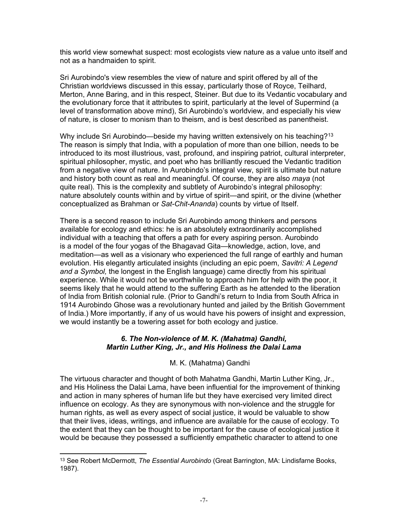this world view somewhat suspect: most ecologists view nature as a value unto itself and not as a handmaiden to spirit.

Sri Aurobindo's view resembles the view of nature and spirit offered by all of the Christian worldviews discussed in this essay, particularly those of Royce, Teilhard, Merton, Anne Baring, and in this respect, Steiner. But due to its Vedantic vocabulary and the evolutionary force that it attributes to spirit, particularly at the level of Supermind (a level of transformation above mind), Sri Aurobindo's worldview, and especially his view of nature, is closer to monism than to theism, and is best described as panentheist.

Why include Sri Aurobindo—beside my having written extensively on his teaching?<sup>13</sup> The reason is simply that India, with a population of more than one billion, needs to be introduced to its most illustrious, vast, profound, and inspiring patriot, cultural interpreter, spiritual philosopher, mystic, and poet who has brilliantly rescued the Vedantic tradition from a negative view of nature. In Aurobindo's integral view, spirit is ultimate but nature and history both count as real and meaningful. Of course, they are also *maya* (not quite real). This is the complexity and subtlety of Aurobindo's integral philosophy: nature absolutely counts within and by virtue of spirit—and spirit, or the divine (whether conceptualized as Brahman or *Sat-Chit-Ananda*) counts by virtue of Itself.

There is a second reason to include Sri Aurobindo among thinkers and persons available for ecology and ethics: he is an absolutely extraordinarily accomplished individual with a teaching that offers a path for every aspiring person. Aurobindo is a model of the four yogas of the Bhagavad Gita—knowledge, action, love, and meditation—as well as a visionary who experienced the full range of earthly and human evolution. His elegantly articulated insights (including an epic poem, *Savitri: A Legend and a Symbol,* the longest in the English language) came directly from his spiritual experience. While it would not be worthwhile to approach him for help with the poor, it seems likely that he would attend to the suffering Earth as he attended to the liberation of India from British colonial rule. (Prior to Gandhi's return to India from South Africa in 1914 Aurobindo Ghose was a revolutionary hunted and jailed by the British Government of India.) More importantly, if any of us would have his powers of insight and expression, we would instantly be a towering asset for both ecology and justice.

#### *6. The Non-violence of M. K. (Mahatma) Gandhi, Martin Luther King, Jr., and His Holiness the Dalai Lama*

#### M. K. (Mahatma) Gandhi

The virtuous character and thought of both Mahatma Gandhi, Martin Luther King, Jr., and His Holiness the Dalai Lama, have been influential for the improvement of thinking and action in many spheres of human life but they have exercised very limited direct influence on ecology. As they are synonymous with non-violence and the struggle for human rights, as well as every aspect of social justice, it would be valuable to show that their lives, ideas, writings, and influence are available for the cause of ecology. To the extent that they can be thought to be important for the cause of ecological justice it would be because they possessed a sufficiently empathetic character to attend to one

<sup>13</sup> See Robert McDermott, *The Essential Aurobindo* (Great Barrington, MA: Lindisfarne Books, 1987).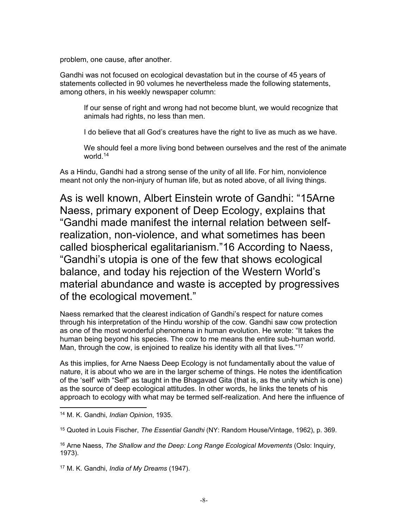problem, one cause, after another.

Gandhi was not focused on ecological devastation but in the course of 45 years of statements collected in 90 volumes he nevertheless made the following statements, among others, in his weekly newspaper column:

If our sense of right and wrong had not become blunt, we would recognize that animals had rights, no less than men.

I do believe that all God's creatures have the right to live as much as we have.

We should feel a more living bond between ourselves and the rest of the animate world.<sup>14</sup>

As a Hindu, Gandhi had a strong sense of the unity of all life. For him, nonviolence meant not only the non-injury of human life, but as noted above, of all living things.

As is well known, Albert Einstein wrote of Gandhi: "15Arne Naess, primary exponent of Deep Ecology, explains that "Gandhi made manifest the internal relation between selfrealization, non-violence, and what sometimes has been called biospherical egalitarianism."16 According to Naess, "Gandhi's utopia is one of the few that shows ecological balance, and today his rejection of the Western World's material abundance and waste is accepted by progressives of the ecological movement."

Naess remarked that the clearest indication of Gandhi's respect for nature comes through his interpretation of the Hindu worship of the cow. Gandhi saw cow protection as one of the most wonderful phenomena in human evolution. He wrote: "It takes the human being beyond his species. The cow to me means the entire sub-human world. Man, through the cow, is enjoined to realize his identity with all that lives."<sup>17</sup>

As this implies, for Arne Naess Deep Ecology is not fundamentally about the value of nature, it is about who we are in the larger scheme of things. He notes the identification of the 'self' with "Self" as taught in the Bhagavad Gita (that is, as the unity which is one) as the source of deep ecological attitudes. In other words, he links the tenets of his approach to ecology with what may be termed self-realization. And here the influence of

<sup>14</sup> M. K. Gandhi, *Indian Opinion*, 1935.

<sup>15</sup> Quoted in Louis Fischer, *The Essential Gandhi* (NY: Random House/Vintage, 1962), p. 369.

<sup>&</sup>lt;sup>16</sup> Arne Naess, *The Shallow and the Deep: Long Range Ecological Movements* (Oslo: Inquiry, 1973).

<sup>17</sup> M. K. Gandhi, *India of My Dreams* (1947).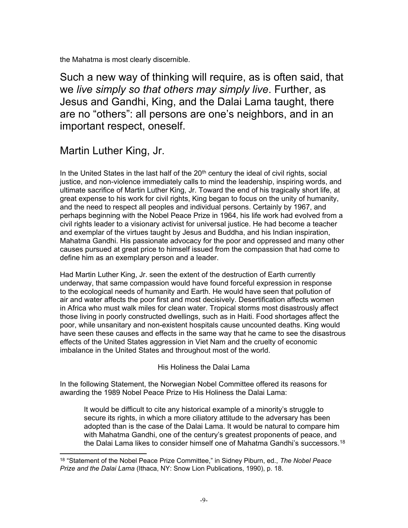the Mahatma is most clearly discernible.

Such a new way of thinking will require, as is often said, that we *live simply so that others may simply live*. Further, as Jesus and Gandhi, King, and the Dalai Lama taught, there are no "others": all persons are one's neighbors, and in an important respect, oneself.

Martin Luther King, Jr.

In the United States in the last half of the 20<sup>th</sup> century the ideal of civil rights, social justice, and non-violence immediately calls to mind the leadership, inspiring words, and ultimate sacrifice of Martin Luther King, Jr. Toward the end of his tragically short life, at great expense to his work for civil rights, King began to focus on the unity of humanity, and the need to respect all peoples and individual persons. Certainly by 1967, and perhaps beginning with the Nobel Peace Prize in 1964, his life work had evolved from a civil rights leader to a visionary activist for universal justice. He had become a teacher and exemplar of the virtues taught by Jesus and Buddha, and his Indian inspiration, Mahatma Gandhi. His passionate advocacy for the poor and oppressed and many other causes pursued at great price to himself issued from the compassion that had come to define him as an exemplary person and a leader.

Had Martin Luther King, Jr. seen the extent of the destruction of Earth currently underway, that same compassion would have found forceful expression in response to the ecological needs of humanity and Earth. He would have seen that pollution of air and water affects the poor first and most decisively. Desertification affects women in Africa who must walk miles for clean water. Tropical storms most disastrously affect those living in poorly constructed dwellings, such as in Haiti. Food shortages affect the poor, while unsanitary and non-existent hospitals cause uncounted deaths. King would have seen these causes and effects in the same way that he came to see the disastrous effects of the United States aggression in Viet Nam and the cruelty of economic imbalance in the United States and throughout most of the world.

His Holiness the Dalai Lama

In the following Statement, the Norwegian Nobel Committee offered its reasons for awarding the 1989 Nobel Peace Prize to His Holiness the Dalai Lama:

It would be difficult to cite any historical example of a minority's struggle to secure its rights, in which a more ciliatory attitude to the adversary has been adopted than is the case of the Dalai Lama. It would be natural to compare him with Mahatma Gandhi, one of the century's greatest proponents of peace, and the Dalai Lama likes to consider himself one of Mahatma Gandhi's successors.<sup>18</sup>

<sup>18</sup> "Statement of the Nobel Peace Prize Committee," in Sidney Piburn, ed., *The Nobel Peace Prize and the Dalai Lama* (Ithaca, NY: Snow Lion Publications, 1990), p. 18.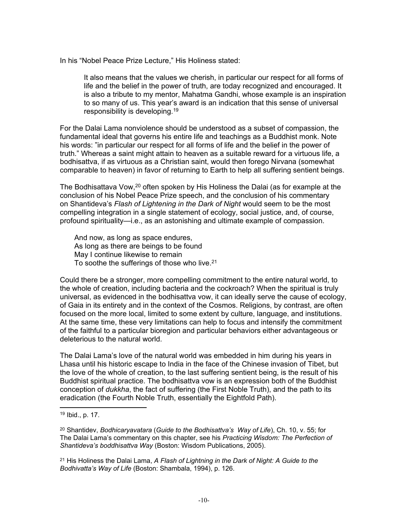In his "Nobel Peace Prize Lecture," His Holiness stated:

It also means that the values we cherish, in particular our respect for all forms of life and the belief in the power of truth, are today recognized and encouraged. It is also a tribute to my mentor, Mahatma Gandhi, whose example is an inspiration to so many of us. This year's award is an indication that this sense of universal responsibility is developing.<sup>19</sup>

For the Dalai Lama nonviolence should be understood as a subset of compassion, the fundamental ideal that governs his entire life and teachings as a Buddhist monk. Note his words: "in particular our respect for all forms of life and the belief in the power of truth." Whereas a saint might attain to heaven as a suitable reward for a virtuous life, a bodhisattva, if as virtuous as a Christian saint, would then forego Nirvana (somewhat comparable to heaven) in favor of returning to Earth to help all suffering sentient beings.

The Bodhisattava Vow,<sup>20</sup> often spoken by His Holiness the Dalai (as for example at the conclusion of his Nobel Peace Prize speech, and the conclusion of his commentary on Shantideva's *Flash of Lightening in the Dark of Night* would seem to be the most compelling integration in a single statement of ecology, social justice, and, of course, profound spirituality—i.e., as an astonishing and ultimate example of compassion.

And now, as long as space endures, As long as there are beings to be found May I continue likewise to remain To soothe the sufferings of those who live.<sup>21</sup>

Could there be a stronger, more compelling commitment to the entire natural world, to the whole of creation, including bacteria and the cockroach? When the spiritual is truly universal, as evidenced in the bodhisattva vow, it can ideally serve the cause of ecology, of Gaia in its entirety and in the context of the Cosmos. Religions, by contrast, are often focused on the more local, limited to some extent by culture, language, and institutions. At the same time, these very limitations can help to focus and intensify the commitment of the faithful to a particular bioregion and particular behaviors either advantageous or deleterious to the natural world.

The Dalai Lama's love of the natural world was embedded in him during his years in Lhasa until his historic escape to India in the face of the Chinese invasion of Tibet, but the love of the whole of creation, to the last suffering sentient being, is the result of his Buddhist spiritual practice. The bodhisattva vow is an expression both of the Buddhist conception of *dukkha*, the fact of suffering (the First Noble Truth), and the path to its eradication (the Fourth Noble Truth, essentially the Eightfold Path).

<sup>21</sup> His Holiness the Dalai Lama, *A Flash of Lightning in the Dark of Night: A Guide to the Bodhivatta's Way of Life* (Boston: Shambala, 1994), p. 126.

<sup>19</sup> Ibid., p. 17.

<sup>20</sup> Shantidev, *Bodhicaryavatara* (*Guide to the Bodhisattva's Way of Life*), Ch. 10, v. 55; for The Dalai Lama's commentary on this chapter, see his *Practicing Wisdom: The Perfection of Shantideva's boddhisattva Way* (Boston: Wisdom Publications, 2005).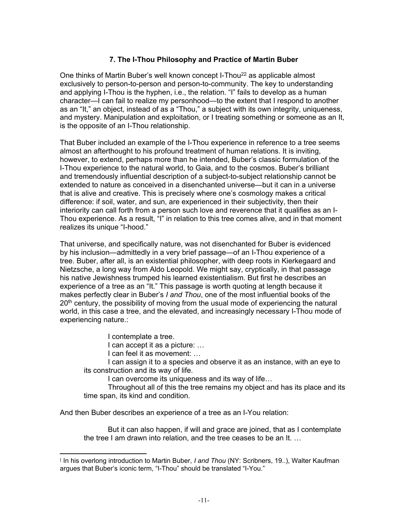## **7. The I-Thou Philosophy and Practice of Martin Buber**

One thinks of Martin Buber's well known concept I-Thou<sup>22</sup> as applicable almost exclusively to person-to-person and person-to-community. The key to understanding and applying I-Thou is the hyphen, i.e., the relation. "I" fails to develop as a human character—I can fail to realize my personhood—to the extent that I respond to another as an "It," an object, instead of as a "Thou," a subject with its own integrity, uniqueness, and mystery. Manipulation and exploitation, or I treating something or someone as an It, is the opposite of an I-Thou relationship.

That Buber included an example of the I-Thou experience in reference to a tree seems almost an afterthought to his profound treatment of human relations. It is inviting, however, to extend, perhaps more than he intended, Buber's classic formulation of the I-Thou experience to the natural world, to Gaia, and to the cosmos. Buber's brilliant and tremendously influential description of a subject-to-subject relationship cannot be extended to nature as conceived in a disenchanted universe—but it can in a universe that is alive and creative. This is precisely where one's cosmology makes a critical difference: if soil, water, and sun, are experienced in their subjectivity, then their interiority can call forth from a person such love and reverence that it qualifies as an I-Thou experience. As a result, "I" in relation to this tree comes alive, and in that moment realizes its unique "I-hood."

That universe, and specifically nature, was not disenchanted for Buber is evidenced by his inclusion—admittedly in a very brief passage—of an I-Thou experience of a tree. Buber, after all, is an existential philosopher, with deep roots in Kierkegaard and Nietzsche, a long way from Aldo Leopold. We might say, cryptically, in that passage his native Jewishness trumped his learned existentialism. But first he describes an experience of a tree as an "It." This passage is worth quoting at length because it makes perfectly clear in Buber's *I and Thou*, one of the most influential books of the 20<sup>th</sup> century, the possibility of moving from the usual mode of experiencing the natural world, in this case a tree, and the elevated, and increasingly necessary I-Thou mode of experiencing nature.:

I contemplate a tree.

I can accept it as a picture: ...

I can feel it as movement: …

I can assign it to a species and observe it as an instance, with an eye to its construction and its way of life.

I can overcome its uniqueness and its way of life...

Throughout all of this the tree remains my object and has its place and its time span, its kind and condition.

And then Buber describes an experience of a tree as an I-You relation:

But it can also happen, if will and grace are joined, that as I contemplate the tree I am drawn into relation, and the tree ceases to be an It. …

<sup>(</sup> In his overlong introduction to Martin Buber, *I and Thou* (NY: Scribners, 19..), Walter Kaufman argues that Buber's iconic term, "I-Thou" should be translated "I-You."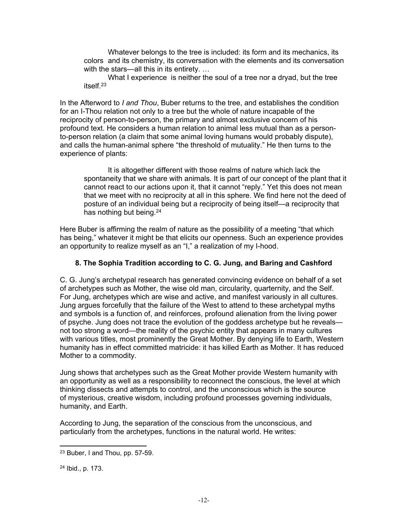Whatever belongs to the tree is included: its form and its mechanics, its colors and its chemistry, its conversation with the elements and its conversation with the stars—all this in its entirety. …

What I experience is neither the soul of a tree nor a dryad, but the tree itself.<sup>23</sup>

In the Afterword to *I and Thou*, Buber returns to the tree, and establishes the condition for an I-Thou relation not only to a tree but the whole of nature incapable of the reciprocity of person-to-person, the primary and almost exclusive concern of his profound text. He considers a human relation to animal less mutual than as a personto-person relation (a claim that some animal loving humans would probably dispute), and calls the human-animal sphere "the threshold of mutuality." He then turns to the experience of plants:

It is altogether different with those realms of nature which lack the spontaneity that we share with animals. It is part of our concept of the plant that it cannot react to our actions upon it, that it cannot "reply." Yet this does not mean that we meet with no reciprocity at all in this sphere. We find here not the deed of posture of an individual being but a reciprocity of being itself—a reciprocity that has nothing but being.<sup>24</sup>

Here Buber is affirming the realm of nature as the possibility of a meeting "that which has being," whatever it might be that elicits our openness. Such an experience provides an opportunity to realize myself as an "I," a realization of my I-hood.

## **8. The Sophia Tradition according to C. G. Jung, and Baring and Cashford**

C. G. Jung's archetypal research has generated convincing evidence on behalf of a set of archetypes such as Mother, the wise old man, circularity, quarternity, and the Self. For Jung, archetypes which are wise and active, and manifest variously in all cultures. Jung argues forcefully that the failure of the West to attend to these archetypal myths and symbols is a function of, and reinforces, profound alienation from the living power of psyche. Jung does not trace the evolution of the goddess archetype but he reveals not too strong a word—the reality of the psychic entity that appears in many cultures with various titles, most prominently the Great Mother. By denying life to Earth, Western humanity has in effect committed matricide: it has killed Earth as Mother. It has reduced Mother to a commodity.

Jung shows that archetypes such as the Great Mother provide Western humanity with an opportunity as well as a responsibility to reconnect the conscious, the level at which thinking dissects and attempts to control, and the unconscious which is the source of mysterious, creative wisdom, including profound processes governing individuals, humanity, and Earth.

According to Jung, the separation of the conscious from the unconscious, and particularly from the archetypes, functions in the natural world. He writes:

<sup>&</sup>lt;sup>23</sup> Buber, I and Thou, pp. 57-59.

<sup>24</sup> Ibid., p. 173.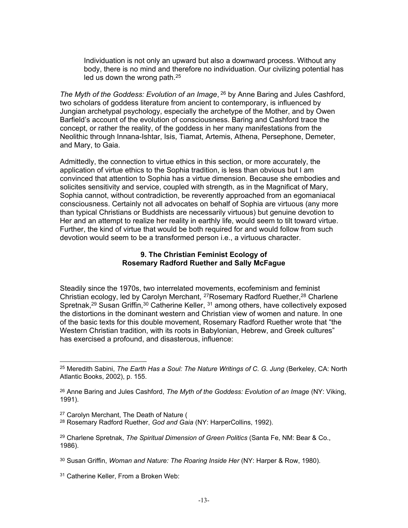Individuation is not only an upward but also a downward process. Without any body, there is no mind and therefore no individuation. Our civilizing potential has led us down the wrong path.<sup>25</sup>

*The Myth of the Goddess: Evolution of an Image*, 26 by Anne Baring and Jules Cashford, two scholars of goddess literature from ancient to contemporary, is influenced by Jungian archetypal psychology, especially the archetype of the Mother, and by Owen Barfield's account of the evolution of consciousness. Baring and Cashford trace the concept, or rather the reality, of the goddess in her many manifestations from the Neolithic through Innana-Ishtar, Isis, Tiamat, Artemis, Athena, Persephone, Demeter, and Mary, to Gaia.

Admittedly, the connection to virtue ethics in this section, or more accurately, the application of virtue ethics to the Sophia tradition, is less than obvious but I am convinced that attention to Sophia has a virtue dimension. Because she embodies and solicites sensitivity and service, coupled with strength, as in the Magnificat of Mary, Sophia cannot, without contradiction, be reverently approached from an egomaniacal consciousness. Certainly not all advocates on behalf of Sophia are virtuous (any more than typical Christians or Buddhists are necessarily virtuous) but genuine devotion to Her and an attempt to realize her reality in earthly life, would seem to tilt toward virtue. Further, the kind of virtue that would be both required for and would follow from such devotion would seem to be a transformed person i.e., a virtuous character.

#### **9. The Christian Feminist Ecology of Rosemary Radford Ruether and Sally McFague**

Steadily since the 1970s, two interrelated movements, ecofeminism and feminist Christian ecology, led by Carolyn Merchant, <sup>27</sup>Rosemary Radford Ruether, <sup>28</sup> Charlene Spretnak,<sup>29</sup> Susan Griffin,<sup>30</sup> Catherine Keller, <sup>31</sup> among others, have collectively exposed the distortions in the dominant western and Christian view of women and nature. In one of the basic texts for this double movement, Rosemary Radford Ruether wrote that "the Western Christian tradition, with its roots in Babylonian, Hebrew, and Greek cultures" has exercised a profound, and disasterous, influence:

- <sup>27</sup> Carolyn Merchant, The Death of Nature (
- 28 Rosemary Radford Ruether, *God and Gaia* (NY: HarperCollins, 1992).
- 29 Charlene Spretnak, *The Spiritual Dimension of Green Politics* (Santa Fe, NM: Bear & Co., 1986).
- 30 Susan Griffin, *Woman and Nature: The Roaring Inside Her* (NY: Harper & Row, 1980).
- 31 Catherine Keller, From a Broken Web:

<sup>25</sup> Meredith Sabini, *The Earth Has a Soul: The Nature Writings of C. G. Jung* (Berkeley, CA: North Atlantic Books, 2002), p. 155.

<sup>26</sup> Anne Baring and Jules Cashford, *The Myth of the Goddess: Evolution of an Image* (NY: Viking, 1991).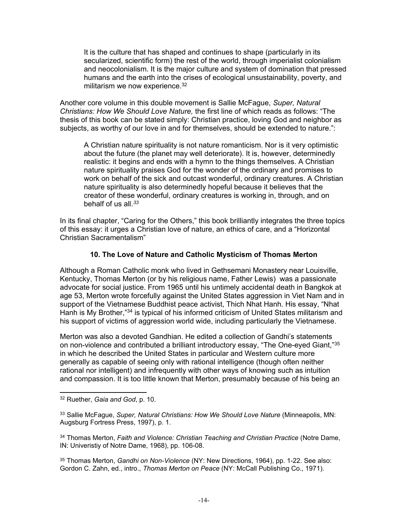It is the culture that has shaped and continues to shape (particularly in its secularized, scientific form) the rest of the world, through imperialist colonialism and neocolonialism. It is the major culture and system of domination that pressed humans and the earth into the crises of ecological unsustainability, poverty, and militarism we now experience.<sup>32</sup>

Another core volume in this double movement is Sallie McFague, *Super, Natural Christians: How We Should Love Nature,* the first line of which reads as follows: "The thesis of this book can be stated simply: Christian practice, loving God and neighbor as subjects, as worthy of our love in and for themselves, should be extended to nature.":

A Christian nature spirituality is not nature romanticism. Nor is it very optimistic about the future (the planet may well deteriorate). It is, however, determinedly realistic: it begins and ends with a hymn to the things themselves. A Christian nature spirituality praises God for the wonder of the ordinary and promises to work on behalf of the sick and outcast wonderful, ordinary creatures. A Christian nature spirituality is also determinedly hopeful because it believes that the creator of these wonderful, ordinary creatures is working in, through, and on behalf of us all.*<sup>33</sup>*

In its final chapter, "Caring for the Others," this book brilliantly integrates the three topics of this essay: it urges a Christian love of nature, an ethics of care, and a "Horizontal Christian Sacramentalism"

## **10. The Love of Nature and Catholic Mysticism of Thomas Merton**

Although a Roman Catholic monk who lived in Gethsemani Monastery near Louisville, Kentucky, Thomas Merton (or by his religious name, Father Lewis) was a passionate advocate for social justice. From 1965 until his untimely accidental death in Bangkok at age 53, Merton wrote forcefully against the United States aggression in Viet Nam and in support of the Vietnamese Buddhist peace activist, Thich Nhat Hanh. His essay, "Nhat Hanh is My Brother,"<sup>34</sup> is typical of his informed criticism of United States militarism and his support of victims of aggression world wide, including particularly the Vietnamese.

Merton was also a devoted Gandhian. He edited a collection of Gandhi's statements on non-violence and contributed a brilliant introductory essay, "The One-eyed Giant,"35 in which he described the United States in particular and Western culture more generally as capable of seeing only with rational intelligence (though often neither rational nor intelligent) and infrequently with other ways of knowing such as intuition and compassion. It is too little known that Merton, presumably because of his being an

<sup>32</sup> Ruether, *Gaia and God*, p. 10.

<sup>&</sup>lt;sup>33</sup> Sallie McFague, *Super, Natural Christians: How We Should Love Nature (*Minneapolis, MN: Augsburg Fortress Press, 1997), p. 1.

<sup>34</sup> Thomas Merton, *Faith and Violence: Christian Teaching and Christian Practice* (Notre Dame, IN: Univeristiy of Notre Dame, 1968), pp. 106-08.

<sup>35</sup> Thomas Merton, *Gandhi on Non-Violence* (NY: New Directions, 1964), pp. 1-22. See also: Gordon C. Zahn, ed., intro., *Thomas Merton on Peace* (NY: McCall Publishing Co., 1971).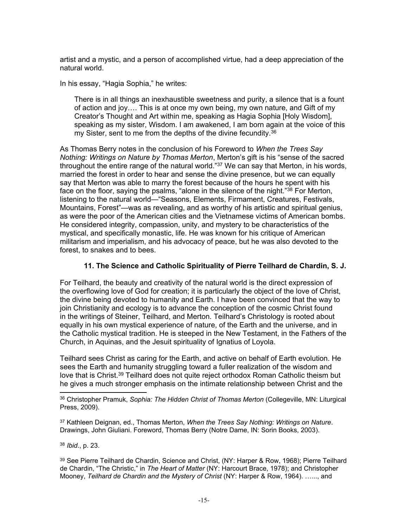artist and a mystic, and a person of accomplished virtue, had a deep appreciation of the natural world.

In his essay, "Hagia Sophia," he writes:

There is in all things an inexhaustible sweetness and purity, a silence that is a fount of action and joy…. This is at once my own being, my own nature, and Gift of my Creator's Thought and Art within me, speaking as Hagia Sophia [Holy Wisdom], speaking as my sister, Wisdom. I am awakened, I am born again at the voice of this my Sister, sent to me from the depths of the divine fecundity.<sup>36</sup>

As Thomas Berry notes in the conclusion of his Foreword to *When the Trees Say Nothing: Writings on Nature by Thomas Merton*, Merton's gift is his "sense of the sacred throughout the entire range of the natural world."<sup>37</sup> We can say that Merton, in his words, married the forest in order to hear and sense the divine presence, but we can equally say that Merton was able to marry the forest because of the hours he spent with his face on the floor, saying the psalms, "alone in the silence of the night."<sup>38</sup> For Merton, listening to the natural world—"Seasons, Elements, Firmament, Creatures, Festivals, Mountains, Forest"—was as revealing, and as worthy of his artistic and spiritual genius, as were the poor of the American cities and the Vietnamese victims of American bombs. He considered integrity, compassion, unity, and mystery to be characteristics of the mystical, and specifically monastic, life. He was known for his critique of American militarism and imperialism, and his advocacy of peace, but he was also devoted to the forest, to snakes and to bees.

## **11. The Science and Catholic Spirituality of Pierre Teilhard de Chardin, S. J.**

For Teilhard, the beauty and creativity of the natural world is the direct expression of the overflowing love of God for creation; it is particularly the object of the love of Christ, the divine being devoted to humanity and Earth. I have been convinced that the way to join Christianity and ecology is to advance the conception of the cosmic Christ found in the writings of Steiner, Teilhard, and Merton. Teilhard's Christology is rooted about equally in his own mystical experience of nature, of the Earth and the universe, and in the Catholic mystical tradition. He is steeped in the New Testament, in the Fathers of the Church, in Aquinas, and the Jesuit spirituality of Ignatius of Loyola.

Teilhard sees Christ as caring for the Earth, and active on behalf of Earth evolution. He sees the Earth and humanity struggling toward a fuller realization of the wisdom and love that is Christ.<sup>39</sup> Teilhard does not quite reject orthodox Roman Catholic theism but he gives a much stronger emphasis on the intimate relationship between Christ and the

37 Kathleen Deignan, ed., Thomas Merton, *When the Trees Say Nothing: Writings on Nature*. Drawings, John Giuliani. Foreword, Thomas Berry (Notre Dame, IN: Sorin Books, 2003).

38 *Ibid*., p. 23.

<sup>39</sup> See Pierre Teilhard de Chardin, Science and Christ, (NY: Harper & Row, 1968); Pierre Teilhard de Chardin, "The Christic," in *The Heart of Matter* (NY: Harcourt Brace, 1978); and Christopher Mooney, *Teilhard de Chardin and the Mystery of Christ* (NY: Harper & Row, 1964). …..., and

<sup>36</sup> Christopher Pramuk, *Sophia: The Hidden Christ of Thomas Merton* (Collegeville, MN: Liturgical Press, 2009).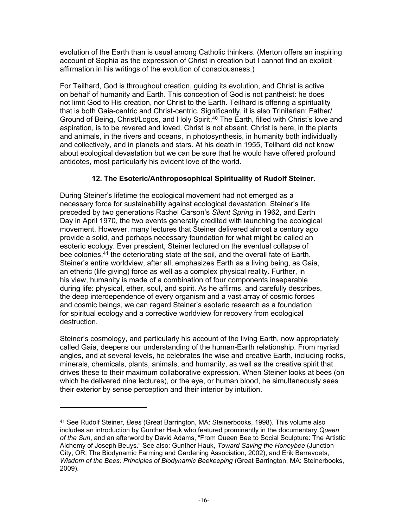evolution of the Earth than is usual among Catholic thinkers. (Merton offers an inspiring account of Sophia as the expression of Christ in creation but I cannot find an explicit affirmation in his writings of the evolution of consciousness.)

For Teilhard, God is throughout creation, guiding its evolution, and Christ is active on behalf of humanity and Earth. This conception of God is not pantheist: he does not limit God to His creation, nor Christ to the Earth. Teilhard is offering a spirituality that is both Gaia-centric and Christ-centric. Significantly, it is also Trinitarian: Father/ Ground of Being, Christ/Logos, and Holy Spirit.<sup>40</sup> The Earth, filled with Christ's love and aspiration, is to be revered and loved. Christ is not absent, Christ is here, in the plants and animals, in the rivers and oceans, in photosynthesis, in humanity both individually and collectively, and in planets and stars. At his death in 1955, Teilhard did not know about ecological devastation but we can be sure that he would have offered profound antidotes, most particularly his evident love of the world.

# **12. The Esoteric/Anthroposophical Spirituality of Rudolf Steiner.**

During Steiner's lifetime the ecological movement had not emerged as a necessary force for sustainability against ecological devastation. Steiner's life preceded by two generations Rachel Carson's *Silent Spring* in 1962, and Earth Day in April 1970, the two events generally credited with launching the ecological movement. However, many lectures that Steiner delivered almost a century ago provide a solid, and perhaps necessary foundation for what might be called an esoteric ecology. Ever prescient, Steiner lectured on the eventual collapse of bee colonies,<sup>41</sup> the deteriorating state of the soil, and the overall fate of Earth. Steiner's entire worldview, after all, emphasizes Earth as a living being, as Gaia, an etheric (life giving) force as well as a complex physical reality. Further, in his view, humanity is made of a combination of four components inseparable during life: physical, ether, soul, and spirit. As he affirms, and carefully describes, the deep interdependence of every organism and a vast array of cosmic forces and cosmic beings, we can regard Steiner's esoteric research as a foundation for spiritual ecology and a corrective worldview for recovery from ecological destruction.

Steiner's cosmology, and particularly his account of the living Earth, now appropriately called Gaia, deepens our understanding of the human-Earth relationship. From myriad angles, and at several levels, he celebrates the wise and creative Earth, including rocks, minerals, chemicals, plants, animals, and humanity, as well as the creative spirit that drives these to their maximum collaborative expression. When Steiner looks at bees (on which he delivered nine lectures), or the eye, or human blood, he simultaneously sees their exterior by sense perception and their interior by intuition.

<sup>41</sup> See Rudolf Steiner, *Bees* (Great Barrington, MA: Steinerbooks, 1998). This volume also includes an introduction by Gunther Hauk who featured prominently in the documentary,*Queen of the Sun*, and an afterword by David Adams, "From Queen Bee to Social Sculpture: The Artistic Alchemy of Joseph Beuys." See also: Gunther Hauk, *Toward Saving the Honeybee* (Junction City, OR: The Biodynamic Farming and Gardening Association, 2002), and Erik Berrevoets, *Wisdom of the Bees: Principles of Biodynamic Beekeeping* (Great Barrington, MA: Steinerbooks, 2009).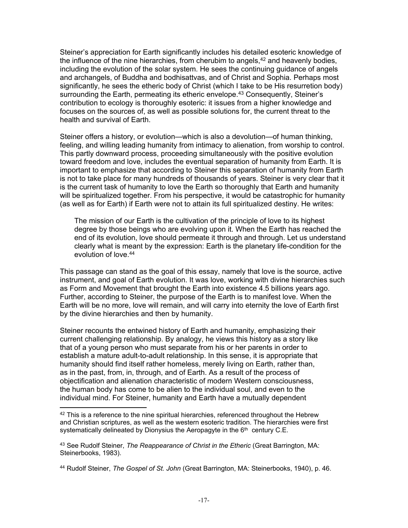Steiner's appreciation for Earth significantly includes his detailed esoteric knowledge of the influence of the nine hierarchies, from cherubim to angels, $42$  and heavenly bodies, including the evolution of the solar system. He sees the continuing guidance of angels and archangels, of Buddha and bodhisattvas, and of Christ and Sophia. Perhaps most significantly, he sees the etheric body of Christ (which I take to be His resurretion body) surrounding the Earth, permeating its etheric envelope.<sup>43</sup> Consequently, Steiner's contribution to ecology is thoroughly esoteric: it issues from a higher knowledge and focuses on the sources of, as well as possible solutions for, the current threat to the health and survival of Earth.

Steiner offers a history, or evolution—which is also a devolution—of human thinking, feeling, and willing leading humanity from intimacy to alienation, from worship to control. This partly downward process, proceeding simultaneously with the positive evolution toward freedom and love, includes the eventual separation of humanity from Earth. It is important to emphasize that according to Steiner this separation of humanity from Earth is not to take place for many hundreds of thousands of years. Steiner is very clear that it is the current task of humanity to love the Earth so thoroughly that Earth and humanity will be spiritualized together. From his perspective, it would be catastrophic for humanity (as well as for Earth) if Earth were not to attain its full spiritualized destiny. He writes:

The mission of our Earth is the cultivation of the principle of love to its highest degree by those beings who are evolving upon it. When the Earth has reached the end of its evolution, love should permeate it through and through. Let us understand clearly what is meant by the expression: Earth is the planetary life-condition for the evolution of love.<sup>44</sup>

This passage can stand as the goal of this essay, namely that love is the source, active instrument, and goal of Earth evolution. It was love, working with divine hierarchies such as Form and Movement that brought the Earth into existence 4.5 billions years ago. Further, according to Steiner, the purpose of the Earth is to manifest love. When the Earth will be no more, love will remain, and will carry into eternity the love of Earth first by the divine hierarchies and then by humanity.

Steiner recounts the entwined history of Earth and humanity, emphasizing their current challenging relationship. By analogy, he views this history as a story like that of a young person who must separate from his or her parents in order to establish a mature adult-to-adult relationship. In this sense, it is appropriate that humanity should find itself rather homeless, merely living on Earth, rather than, as in the past, from, in, through, and of Earth. As a result of the process of objectification and alienation characteristic of modern Western consciousness, the human body has come to be alien to the individual soul, and even to the individual mind. For Steiner, humanity and Earth have a mutually dependent

 $42$  This is a reference to the nine spiritual hierarchies, referenced throughout the Hebrew and Christian scriptures, as well as the western esoteric tradition. The hierarchies were first systematically delineated by Dionysius the Aeropagyte in the  $6<sup>th</sup>$  century C.E.

<sup>43</sup> See Rudolf Steiner, *The Reappearance of Christ in the Etheric* (Great Barrington, MA: Steinerbooks, 1983).

<sup>44</sup> Rudolf Steiner, *The Gospel of St. John* (Great Barrington, MA: Steinerbooks, 1940), p. 46.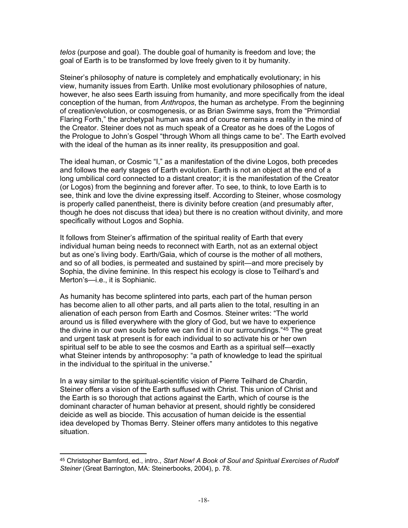*telos* (purpose and goal). The double goal of humanity is freedom and love; the goal of Earth is to be transformed by love freely given to it by humanity.

Steiner's philosophy of nature is completely and emphatically evolutionary; in his view, humanity issues from Earth. Unlike most evolutionary philosophies of nature, however, he also sees Earth issuing from humanity, and more specifically from the ideal conception of the human, from *Anthropos*, the human as archetype. From the beginning of creation/evolution, or cosmogenesis, or as Brian Swimme says, from the "Primordial Flaring Forth," the archetypal human was and of course remains a reality in the mind of the Creator. Steiner does not as much speak of a Creator as he does of the Logos of the Prologue to John's Gospel "through Whom all things came to be". The Earth evolved with the ideal of the human as its inner reality, its presupposition and goal.

The ideal human, or Cosmic "I," as a manifestation of the divine Logos, both precedes and follows the early stages of Earth evolution. Earth is not an object at the end of a long umbilical cord connected to a distant creator; it is the manifestation of the Creator (or Logos) from the beginning and forever after. To see, to think, to love Earth is to see, think and love the divine expressing itself. According to Steiner, whose cosmology is properly called panentheist, there is divinity before creation (and presumably after, though he does not discuss that idea) but there is no creation without divinity, and more specifically without Logos and Sophia.

It follows from Steiner's affirmation of the spiritual reality of Earth that every individual human being needs to reconnect with Earth, not as an external object but as one's living body. Earth/Gaia, which of course is the mother of all mothers, and so of all bodies, is permeated and sustained by spirit—and more precisely by Sophia, the divine feminine. In this respect his ecology is close to Teilhard's and Merton's—i.e., it is Sophianic.

As humanity has become splintered into parts, each part of the human person has become alien to all other parts, and all parts alien to the total, resulting in an alienation of each person from Earth and Cosmos. Steiner writes: "The world around us is filled everywhere with the glory of God, but we have to experience the divine in our own souls before we can find it in our surroundings."<sup>45</sup> The great and urgent task at present is for each individual to so activate his or her own spiritual self to be able to see the cosmos and Earth as a spiritual self—exactly what Steiner intends by anthroposophy: "a path of knowledge to lead the spiritual in the individual to the spiritual in the universe."

In a way similar to the spiritual-scientific vision of Pierre Teilhard de Chardin, Steiner offers a vision of the Earth suffused with Christ. This union of Christ and the Earth is so thorough that actions against the Earth, which of course is the dominant character of human behavior at present, should rightly be considered deicide as well as biocide. This accusation of human deicide is the essential idea developed by Thomas Berry. Steiner offers many antidotes to this negative situation.

<sup>45</sup> Christopher Bamford, ed., intro., *Start Now! A Book of Soul and Spiritual Exercises of Rudolf Steiner* (Great Barrington, MA: Steinerbooks, 2004), p. 78.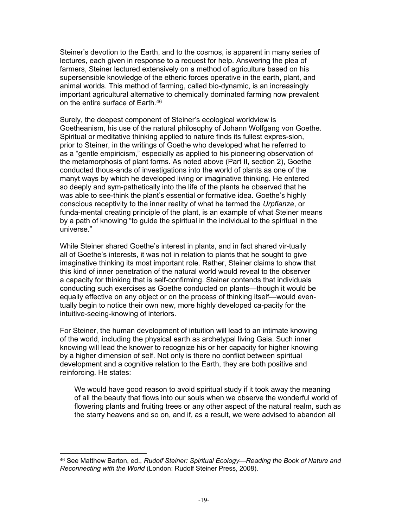Steiner's devotion to the Earth, and to the cosmos, is apparent in many series of lectures, each given in response to a request for help. Answering the plea of farmers, Steiner lectured extensively on a method of agriculture based on his supersensible knowledge of the etheric forces operative in the earth, plant, and animal worlds. This method of farming, called bio-dynamic, is an increasingly important agricultural alternative to chemically dominated farming now prevalent on the entire surface of Earth.<sup>46</sup>

Surely, the deepest component of Steiner's ecological worldview is Goetheanism, his use of the natural philosophy of Johann Wolfgang von Goethe. Spiritual or meditative thinking applied to nature finds its fullest expres-sion, prior to Steiner, in the writings of Goethe who developed what he referred to as a "gentle empiricism," especially as applied to his pioneering observation of the metamorphosis of plant forms. As noted above (Part II, section 2), Goethe conducted thous-ands of investigations into the world of plants as one of the manyt ways by which he developed living or imaginative thinking. He entered so deeply and sym-pathetically into the life of the plants he observed that he was able to see-think the plant's essential or formative idea. Goethe's highly conscious receptivity to the inner reality of what he termed the *Urpflanze*, or funda-mental creating principle of the plant, is an example of what Steiner means by a path of knowing "to guide the spiritual in the individual to the spiritual in the universe."

While Steiner shared Goethe's interest in plants, and in fact shared vir-tually all of Goethe's interests, it was not in relation to plants that he sought to give imaginative thinking its most important role. Rather, Steiner claims to show that this kind of inner penetration of the natural world would reveal to the observer a capacity for thinking that is self-confirming. Steiner contends that individuals conducting such exercises as Goethe conducted on plants—though it would be equally effective on any object or on the process of thinking itself—would eventually begin to notice their own new, more highly developed ca-pacity for the intuitive-seeing-knowing of interiors.

For Steiner, the human development of intuition will lead to an intimate knowing of the world, including the physical earth as archetypal living Gaia. Such inner knowing will lead the knower to recognize his or her capacity for higher knowing by a higher dimension of self. Not only is there no conflict between spiritual development and a cognitive relation to the Earth, they are both positive and reinforcing. He states:

We would have good reason to avoid spiritual study if it took away the meaning of all the beauty that flows into our souls when we observe the wonderful world of flowering plants and fruiting trees or any other aspect of the natural realm, such as the starry heavens and so on, and if, as a result, we were advised to abandon all

<sup>46</sup> See Matthew Barton, ed., *Rudolf Steiner: Spiritual Ecology—Reading the Book of Nature and Reconnecting with the World* (London: Rudolf Steiner Press, 2008).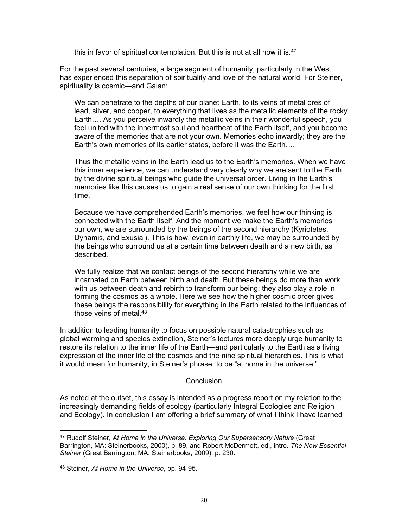this in favor of spiritual contemplation. But this is not at all how it is.<sup>47</sup>

For the past several centuries, a large segment of humanity, particularly in the West, has experienced this separation of spirituality and love of the natural world. For Steiner, spirituality is cosmic—and Gaian:

We can penetrate to the depths of our planet Earth, to its veins of metal ores of lead, silver, and copper, to everything that lives as the metallic elements of the rocky Earth…. As you perceive inwardly the metallic veins in their wonderful speech, you feel united with the innermost soul and heartbeat of the Earth itself, and you become aware of the memories that are not your own. Memories echo inwardly; they are the Earth's own memories of its earlier states, before it was the Earth….

Thus the metallic veins in the Earth lead us to the Earth's memories. When we have this inner experience, we can understand very clearly why we are sent to the Earth by the divine spiritual beings who guide the universal order. Living in the Earth's memories like this causes us to gain a real sense of our own thinking for the first time.

Because we have comprehended Earth's memories, we feel how our thinking is connected with the Earth itself. And the moment we make the Earth's memories our own, we are surrounded by the beings of the second hierarchy (Kyriotetes, Dynamis, and Exusiai). This is how, even in earthly life, we may be surrounded by the beings who surround us at a certain time between death and a new birth, as described.

We fully realize that we contact beings of the second hierarchy while we are incarnated on Earth between birth and death. But these beings do more than work with us between death and rebirth to transform our being; they also play a role in forming the cosmos as a whole. Here we see how the higher cosmic order gives these beings the responsibility for everything in the Earth related to the influences of those veins of metal.<sup>48</sup>

In addition to leading humanity to focus on possible natural catastrophies such as global warming and species extinction, Steiner's lectures more deeply urge humanity to restore its relation to the inner life of the Earth—and particularly to the Earth as a living expression of the inner life of the cosmos and the nine spiritual hierarchies. This is what it would mean for humanity, in Steiner's phrase, to be "at home in the universe."

#### Conclusion

As noted at the outset, this essay is intended as a progress report on my relation to the increasingly demanding fields of ecology (particularly Integral Ecologies and Religion and Ecology). In conclusion I am offering a brief summary of what I think I have learned

<sup>47</sup> Rudolf Steiner, *At Home in the Universe: Exploring Our Supersensory Nature* (Great Barrington, MA: Steinerbooks, 2000), p. 89, and Robert McDermott, ed., intro. *The New Essential Steiner* (Great Barrington, MA: Steinerbooks, 2009), p. 230.

<sup>48</sup> Steiner, *At Home in the Universe*, pp. 94-95.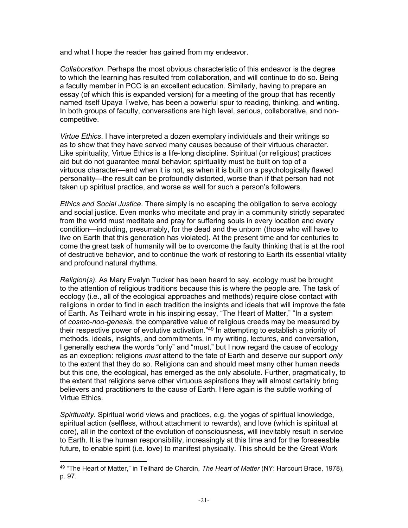and what I hope the reader has gained from my endeavor.

*Collaboration*. Perhaps the most obvious characteristic of this endeavor is the degree to which the learning has resulted from collaboration, and will continue to do so. Being a faculty member in PCC is an excellent education. Similarly, having to prepare an essay (of which this is expanded version) for a meeting of the group that has recently named itself Upaya Twelve, has been a powerful spur to reading, thinking, and writing. In both groups of faculty, conversations are high level, serious, collaborative, and noncompetitive.

*Virtue Ethics*. I have interpreted a dozen exemplary individuals and their writings so as to show that they have served many causes because of their virtuous character. Like spirituality, Virtue Ethics is a life-long discipline. Spiritual (or religious) practices aid but do not guarantee moral behavior; spirituality must be built on top of a virtuous character—and when it is not, as when it is built on a psychologically flawed personality—the result can be profoundly distorted, worse than if that person had not taken up spiritual practice, and worse as well for such a person's followers.

*Ethics and Social Justice*. There simply is no escaping the obligation to serve ecology and social justice. Even monks who meditate and pray in a community strictly separated from the world must meditate and pray for suffering souls in every location and every condition—including, presumably, for the dead and the unborn (those who will have to live on Earth that this generation has violated). At the present time and for centuries to come the great task of humanity will be to overcome the faulty thinking that is at the root of destructive behavior, and to continue the work of restoring to Earth its essential vitality and profound natural rhythms.

*Religion(s).* As Mary Evelyn Tucker has been heard to say, ecology must be brought to the attention of religious traditions because this is where the people are. The task of ecology (i.e., all of the ecological approaches and methods) require close contact with religions in order to find in each tradition the insights and ideals that will improve the fate of Earth. As Teilhard wrote in his inspiring essay, "The Heart of Matter," "In a system of *cosmo-noo-genesis*, the comparative value of religious creeds may be measured by their respective power of evolutive activation."<sup>49</sup> In attempting to establish a priority of methods, ideals, insights, and commitments, in my writing, lectures, and conversation, I generally eschew the words "only" and "must," but I now regard the cause of ecology as an exception: religions *must* attend to the fate of Earth and deserve our support *only* to the extent that they do so. Religions can and should meet many other human needs but this one, the ecological, has emerged as the only absolute. Further, pragmatically, to the extent that religions serve other virtuous aspirations they will almost certainly bring believers and practitioners to the cause of Earth. Here again is the subtle working of Virtue Ethics.

*Spirituality.* Spiritual world views and practices, e.g. the yogas of spiritual knowledge, spiritual action (selfless, without attachment to rewards), and love (which is spiritual at core), all in the context of the evolution of consciousness, will inevitably result in service to Earth. It is the human responsibility, increasingly at this time and for the foreseeable future, to enable spirit (i.e. love) to manifest physically. This should be the Great Work

<sup>49</sup> "The Heart of Matter," in Teilhard de Chardin, *The Heart of Matter* (NY: Harcourt Brace, 1978), p. 97.